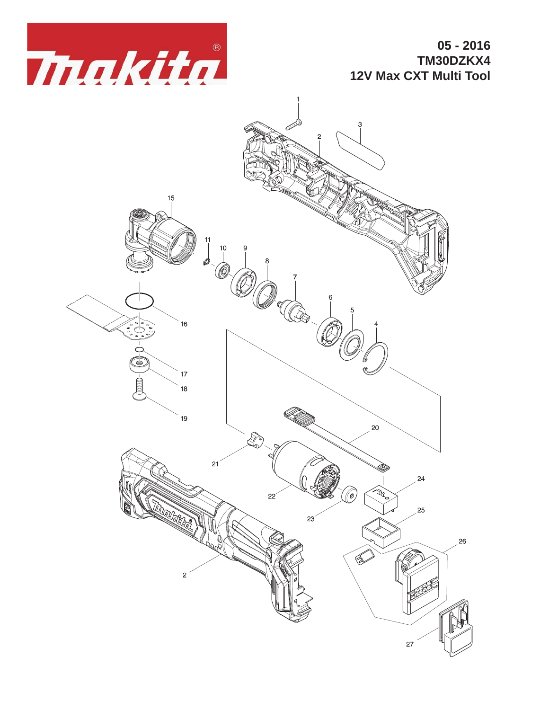

**05 - 2016 TM30DZKX4 12V Max CXT Multi Tool**